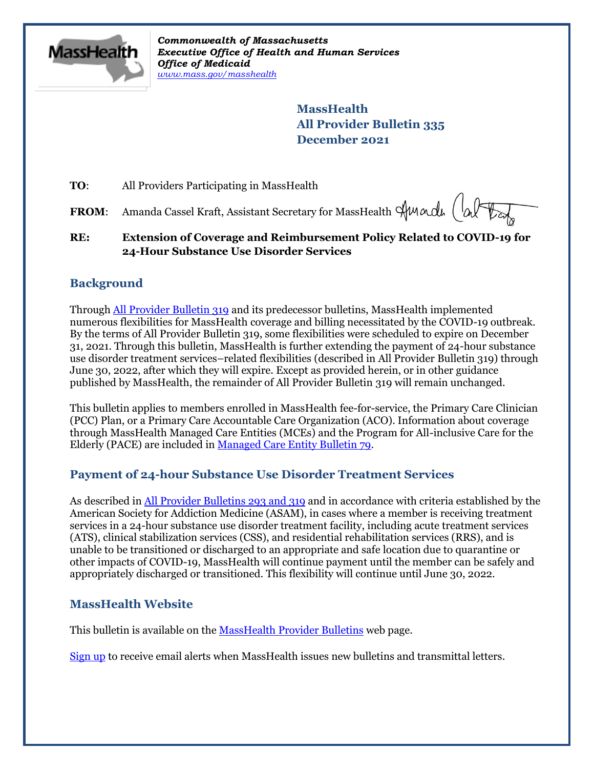

*Commonwealth of Massachusetts Executive Office of Health and Human Services Office of Medicaid [www.mass.gov/masshealth](http://www.mass.gov/masshealth)*

> **MassHealth All Provider Bulletin 335 December 2021**

**TO:** All Providers Participating in MassHealth

FROM: Amanda Cassel Kraft, Assistant Secretary for MassHealth Hundu (alter

**RE: Extension of Coverage and Reimbursement Policy Related to COVID-19 for 24-Hour Substance Use Disorder Services** 

## **Background**

Throug[h All Provider Bulletin 319](https://www.mass.gov/lists/all-provider-bulletins) and its predecessor bulletins, MassHealth implemented numerous flexibilities for MassHealth coverage and billing necessitated by the COVID-19 outbreak. By the terms of All Provider Bulletin 319, some flexibilities were scheduled to expire on December 31, 2021. Through this bulletin, MassHealth is further extending the payment of 24-hour substance use disorder treatment services–related flexibilities (described in All Provider Bulletin 319) through June 30, 2022, after which they will expire. Except as provided herein, or in other guidance published by MassHealth, the remainder of All Provider Bulletin 319 will remain unchanged.

This bulletin applies to members enrolled in MassHealth fee-for-service, the Primary Care Clinician (PCC) Plan, or a Primary Care Accountable Care Organization (ACO). Information about coverage through MassHealth Managed Care Entities (MCEs) and the Program for All-inclusive Care for the Elderly (PACE) are included in [Managed Care Entity Bulletin 79.](https://www.mass.gov/lists/masshealth-provider-bulletins-by-provider-type-i-n#managed-care-entity-)

### **Payment of 24-hour Substance Use Disorder Treatment Services**

As described i[n All Provider Bulletins](https://www.mass.gov/lists/all-provider-bulletins) 293 and 319 and in accordance with criteria established by the American Society for Addiction Medicine (ASAM), in cases where a member is receiving treatment services in a 24-hour substance use disorder treatment facility, including acute treatment services (ATS), clinical stabilization services (CSS), and residential rehabilitation services (RRS), and is unable to be transitioned or discharged to an appropriate and safe location due to quarantine or other impacts of COVID-19, MassHealth will continue payment until the member can be safely and appropriately discharged or transitioned. This flexibility will continue until June 30, 2022.

### **MassHealth Website**

This bulletin is available on th[e MassHealth Provider Bulletins](http://www.mass.gov/masshealth-provider-bulletins) web page.

[Sign up](https://www.mass.gov/forms/email-notifications-for-masshealth-provider-bulletins-and-transmittal-letters) to receive email alerts when MassHealth issues new bulletins and transmittal letters.